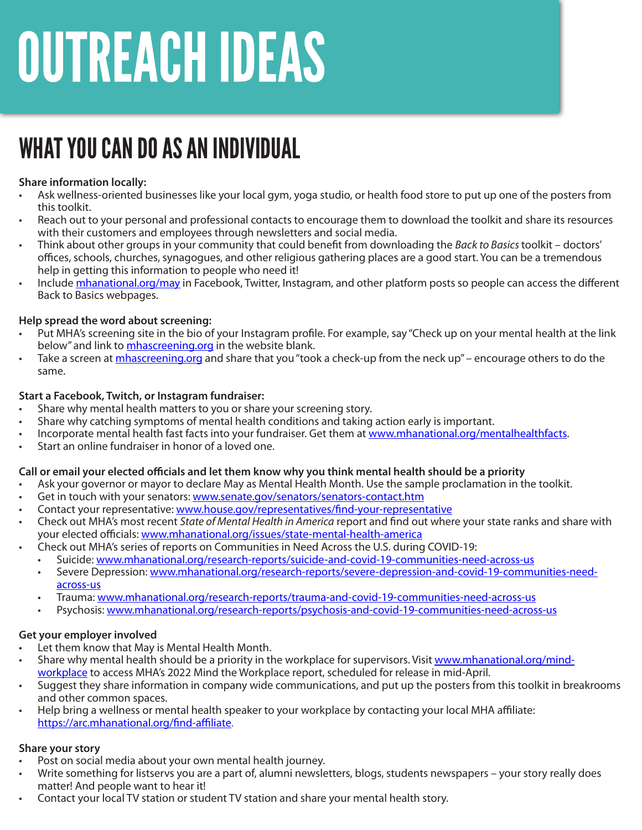# **OUTREACH IDEAS**

## WHAT YOU CAN DO AS AN INDIVIDUAL

#### **Share information locally:**

- Ask wellness-oriented businesses like your local gym, yoga studio, or health food store to put up one of the posters from this toolkit.
- Reach out to your personal and professional contacts to encourage them to download the toolkit and share its resources with their customers and employees through newsletters and social media.
- Think about other groups in your community that could benefit from downloading the *Back to Basics* toolkit doctors' offices, schools, churches, synagogues, and other religious gathering places are a good start. You can be a tremendous help in getting this information to people who need it!
- Include [mhanational.org/may](https://mhanational.org/mental-health-month) in Facebook, Twitter, Instagram, and other platform posts so people can access the different Back to Basics webpages.

#### **Help spread the word about screening:**

- Put MHA's screening site in the bio of your Instagram profile. For example, say "Check up on your mental health at the link below" and link to *mhascreening.org* in the website blank.
- Take a screen at mha[screening.org](http://www.MHAscreening.org) and share that you "took a check-up from the neck up" encourage others to do the same.

#### **Start a Facebook, Twitch, or Instagram fundraiser:**

- Share why mental health matters to you or share your screening story.
- Share why catching symptoms of mental health conditions and taking action early is important.
- Incorporate mental health fast facts into your fundraiser. Get them at [www.mhanational.org/mentalhealthfacts.](http://www.mhanational.org/mentalhealthfacts)
- Start an online fundraiser in honor of a loved one.

#### **Call or email your elected officials and let them know why you think mental health should be a priority**

- Ask your governor or mayor to declare May as Mental Health Month. Use the sample proclamation in the toolkit.
- Get in touch with your senators: [www.senate.gov/senators/senators-contact.htm](https://www.senate.gov/senators/senators-contact.htm)
- Contact your representative: [www.house.gov/representatives/find-your-representative](https://www.house.gov/representatives/find-your-representative)
- Check out MHA's most recent *State of Mental Health in America* report and find out where your state ranks and share with your elected officials: [www.mhanational.org/issues/state-mental-health-america](https://www.mhanational.org/issues/state-mental-health-america)
	- Check out MHA's series of reports on Communities in Need Across the U.S. during COVID-19:
		- Suicide: [www.mhanational.org/research-reports/suicide-and-covid-19-communities-need-across-us](https://www.mhanational.org/research-reports/suicide-and-covid-19-communities-need-across-us)
		- Severe Depression: [www.mhanational.org/research-reports/severe-depression-and-covid-19-communities-need](https://www.mhanational.org/research-reports/severe-depression-and-covid-19-communities-need-across-us)[across-us](https://www.mhanational.org/research-reports/severe-depression-and-covid-19-communities-need-across-us)
		- Trauma: [www.mhanational.org/research-reports/trauma-and-covid-19-communities-need-across-us](https://www.mhanational.org/research-reports/trauma-and-covid-19-communities-need-across-us)
		- Psychosis: [www.mhanational.org/research-reports/psychosis-and-covid-19-communities-need-across-us](https://www.mhanational.org/research-reports/psychosis-and-covid-19-communities-need-across-us)

#### **Get your employer involved**

- Let them know that May is Mental Health Month.
- Share why mental health should be a priority in the workplace for supervisors. Visit [www.mhanational.org/mind](https://www.mhanational.org/mind-workplace)[workplace](https://www.mhanational.org/mind-workplace) to access MHA's 2022 Mind the Workplace report, scheduled for release in mid-April.
- Suggest they share information in company wide communications, and put up the posters from this toolkit in breakrooms and other common spaces.
- Help bring a wellness or mental health speaker to your workplace by contacting your local MHA affiliate: [https://arc.mhanational.org/find-affiliate.](https://arc.mhanational.org/find-affiliate)

#### **Share your story**

- Post on social media about your own mental health journey.
- Write something for listservs you are a part of, alumni newsletters, blogs, students newspapers your story really does matter! And people want to hear it!
- Contact your local TV station or student TV station and share your mental health story.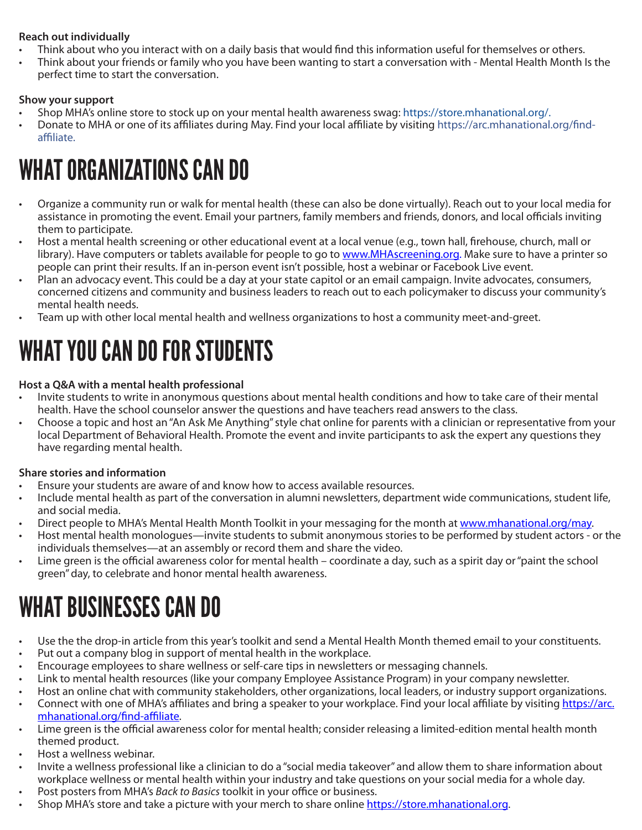#### **Reach out individually**

- Think about who you interact with on a daily basis that would find this information useful for themselves or others.
- Think about your friends or family who you have been wanting to start a conversation with Mental Health Month Is the perfect time to start the conversation.

#### **Show your support**

- Shop MHA's online store to stock up on your mental health awareness swag: https://store.mhanational.org/.
- Donate to MHA or one of its affiliates during May. Find your local affiliate by visiting https://arc.mhanational.org/findaffiliate.

### WHAT ORGANIZATIONS CAN DO

- Organize a community run or walk for mental health (these can also be done virtually). Reach out to your local media for assistance in promoting the event. Email your partners, family members and friends, donors, and local officials inviting them to participate.
- Host a mental health screening or other educational event at a local venue (e.g., town hall, firehouse, church, mall or library). Have computers or tablets available for people to go to [www.MHAscreening.org.](http://www.MHAscreening.org) Make sure to have a printer so people can print their results. If an in-person event isn't possible, host a webinar or Facebook Live event.
- Plan an advocacy event. This could be a day at your state capitol or an email campaign. Invite advocates, consumers, concerned citizens and community and business leaders to reach out to each policymaker to discuss your community's mental health needs.
- Team up with other local mental health and wellness organizations to host a community meet-and-greet.

### WHAT YOU CAN DO FOR STUDENTS

#### **Host a Q&A with a mental health professional**

- Invite students to write in anonymous questions about mental health conditions and how to take care of their mental health. Have the school counselor answer the questions and have teachers read answers to the class.
- Choose a topic and host an "An Ask Me Anything" style chat online for parents with a clinician or representative from your local Department of Behavioral Health. Promote the event and invite participants to ask the expert any questions they have regarding mental health.

#### **Share stories and information**

- Ensure your students are aware of and know how to access available resources.
- Include mental health as part of the conversation in alumni newsletters, department wide communications, student life, and social media.
- Direct people to MHA's Mental Health Month Toolkit in your messaging for the month at [www.mhanational.org/may](http://www.mhanational.org/may).
- Host mental health monologues—invite students to submit anonymous stories to be performed by student actors or the individuals themselves—at an assembly or record them and share the video.
- Lime green is the official awareness color for mental health coordinate a day, such as a spirit day or "paint the school green" day, to celebrate and honor mental health awareness.

### WHAT BUSINESSES CAN DO

- Use the the drop-in article from this year's toolkit and send a Mental Health Month themed email to your constituents.
- Put out a company blog in support of mental health in the workplace.
- Encourage employees to share wellness or self-care tips in newsletters or messaging channels.
- Link to mental health resources (like your company Employee Assistance Program) in your company newsletter.
- Host an online chat with community stakeholders, other organizations, local leaders, or industry support organizations.
- Connect with one of MHA's affiliates and bring a speaker to your workplace. Find your local affiliate by visiting [https://arc.](https://arc.mhanational.org/find-affiliate) [mhanational.org/find-affiliate.](https://arc.mhanational.org/find-affiliate)
- Lime green is the official awareness color for mental health; consider releasing a limited-edition mental health month themed product.
- Host a wellness webinar.
- Invite a wellness professional like a clinician to do a "social media takeover" and allow them to share information about workplace wellness or mental health within your industry and take questions on your social media for a whole day.
- Post posters from MHA's *Back to Basics* toolkit in your office or business.
- Shop MHA's store and take a picture with your merch to share online [https://store.mhanational.org.](https://store.mhanational.org/)